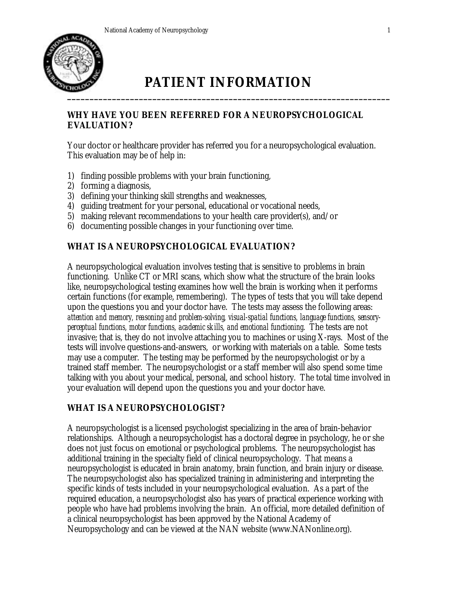

# **PATIENT INFORMATION**

### **WHY HAVE YOU BEEN REFERRED FOR A NEUROPSYCHOLOGICAL EVALUATION?**

Your doctor or healthcare provider has referred you for a neuropsychological evaluation. This evaluation may be of help in:

- 1) finding possible problems with your brain functioning,
- 2) forming a diagnosis,
- 3) defining your thinking skill strengths and weaknesses,
- 4) guiding treatment for your personal, educational or vocational needs,
- 5) making relevant recommendations to your health care provider(s), and/or
- 6) documenting possible changes in your functioning over time.

# **WHAT IS A NEUROPSYCHOLOGICAL EVALUATION?**

A neuropsychological evaluation involves testing that is sensitive to problems in brain functioning. Unlike CT or MRI scans, which show what the structure of the brain looks like, neuropsychological testing examines how well the brain is working when it performs certain functions (for example, remembering). The types of tests that you will take depend upon the questions you and your doctor have. The tests may assess the following areas: *attention and memory, reasoning and problem-solving, visual-spatial functions, language functions, sensoryperceptual functions, motor functions, academic skills, and emotional functioning*. The tests are not invasive; that is, they do not involve attaching you to machines or using X-rays. Most of the tests will involve questions-and-answers, or working with materials on a table. Some tests may use a computer. The testing may be performed by the neuropsychologist or by a trained staff member. The neuropsychologist or a staff member will also spend some time talking with you about your medical, personal, and school history. The total time involved in your evaluation will depend upon the questions you and your doctor have.

## **WHAT IS A NEUROPSYCHOLOGIST?**

A neuropsychologist is a licensed psychologist specializing in the area of brain-behavior relationships. Although a neuropsychologist has a doctoral degree in psychology, he or she does not just focus on emotional or psychological problems. The neuropsychologist has additional training in the specialty field of clinical neuropsychology. That means a neuropsychologist is educated in brain anatomy, brain function, and brain injury or disease. The neuropsychologist also has specialized training in administering and interpreting the specific kinds of tests included in your neuropsychological evaluation. As a part of the required education, a neuropsychologist also has years of practical experience working with people who have had problems involving the brain. An official, more detailed definition of a clinical neuropsychologist has been approved by the National Academy of Neuropsychology and can be viewed at the NAN website (www.NANonline.org).